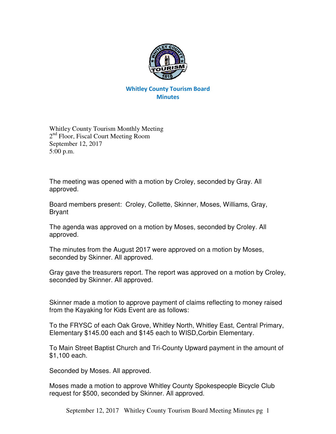

## Whitley County Tourism Board **Minutes**

Whitley County Tourism Monthly Meeting 2<sup>nd</sup> Floor, Fiscal Court Meeting Room September 12, 2017 5:00 p.m.

The meeting was opened with a motion by Croley, seconded by Gray. All approved.

Board members present: Croley, Collette, Skinner, Moses, Williams, Gray, Bryant

The agenda was approved on a motion by Moses, seconded by Croley. All approved.

The minutes from the August 2017 were approved on a motion by Moses, seconded by Skinner. All approved.

Gray gave the treasurers report. The report was approved on a motion by Croley, seconded by Skinner. All approved.

Skinner made a motion to approve payment of claims reflecting to money raised from the Kayaking for Kids Event are as follows:

To the FRYSC of each Oak Grove, Whitley North, Whitley East, Central Primary, Elementary \$145.00 each and \$145 each to WISD,Corbin Elementary.

To Main Street Baptist Church and Tri-County Upward payment in the amount of \$1,100 each.

Seconded by Moses. All approved.

Moses made a motion to approve Whitley County Spokespeople Bicycle Club request for \$500, seconded by Skinner. All approved.

September 12, 2017 Whitley County Tourism Board Meeting Minutes pg 1